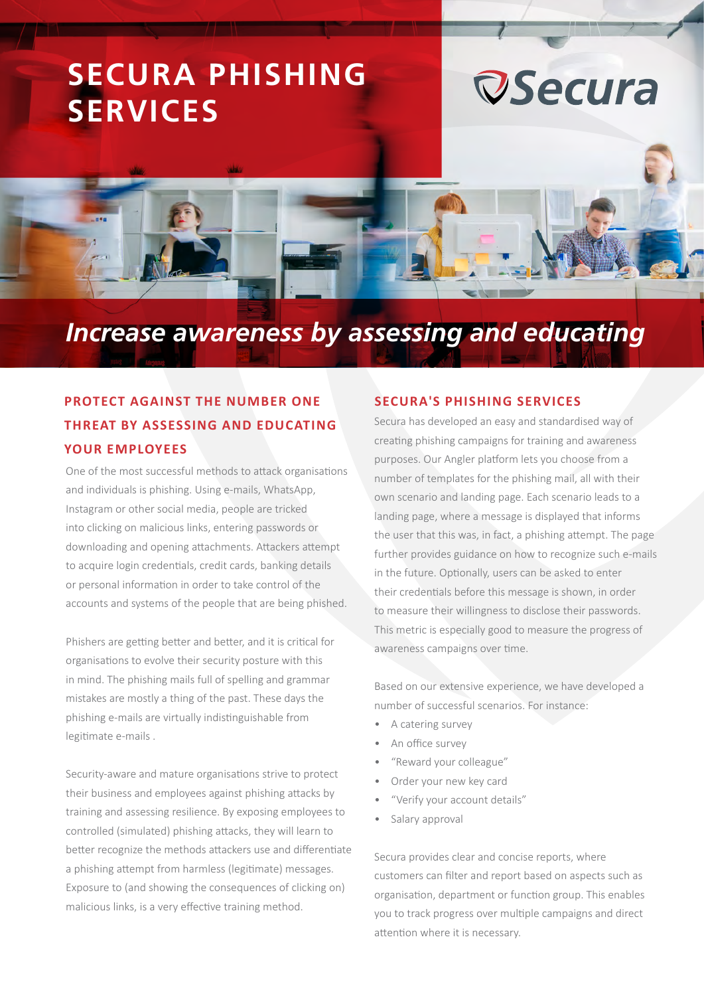## **SECURA PHISHING SERVICES**





### *Increase awareness by assessing and educating*

### **PROTECT AGAINST THE NUMBER ONE THREAT BY ASSESSING AND EDUCATING YOUR EMPLOYEES**

One of the most successful methods to attack organisations and individuals is phishing. Using e-mails, WhatsApp, Instagram or other social media, people are tricked into clicking on malicious links, entering passwords or downloading and opening attachments. Attackers attempt to acquire login credentials, credit cards, banking details or personal information in order to take control of the accounts and systems of the people that are being phished.

Phishers are getting better and better, and it is critical for organisations to evolve their security posture with this in mind. The phishing mails full of spelling and grammar mistakes are mostly a thing of the past. These days the phishing e-mails are virtually indistinguishable from legitimate e-mails .

Security-aware and mature organisations strive to protect their business and employees against phishing attacks by training and assessing resilience. By exposing employees to controlled (simulated) phishing attacks, they will learn to better recognize the methods attackers use and differentiate a phishing attempt from harmless (legitimate) messages. Exposure to (and showing the consequences of clicking on) malicious links, is a very effective training method.

#### **SECURA'S PHISHING SERVICES**

Secura has developed an easy and standardised way of creating phishing campaigns for training and awareness purposes. Our Angler platform lets you choose from a number of templates for the phishing mail, all with their own scenario and landing page. Each scenario leads to a landing page, where a message is displayed that informs the user that this was, in fact, a phishing attempt. The page further provides guidance on how to recognize such e-mails in the future. Optionally, users can be asked to enter their credentials before this message is shown, in order to measure their willingness to disclose their passwords. This metric is especially good to measure the progress of awareness campaigns over time.

Based on our extensive experience, we have developed a number of successful scenarios. For instance:

- A catering survey
- An office survey
- "Reward your colleague"
- Order your new key card
- "Verify your account details"
- Salary approval

Secura provides clear and concise reports, where customers can filter and report based on aspects such as organisation, department or function group. This enables you to track progress over multiple campaigns and direct attention where it is necessary.